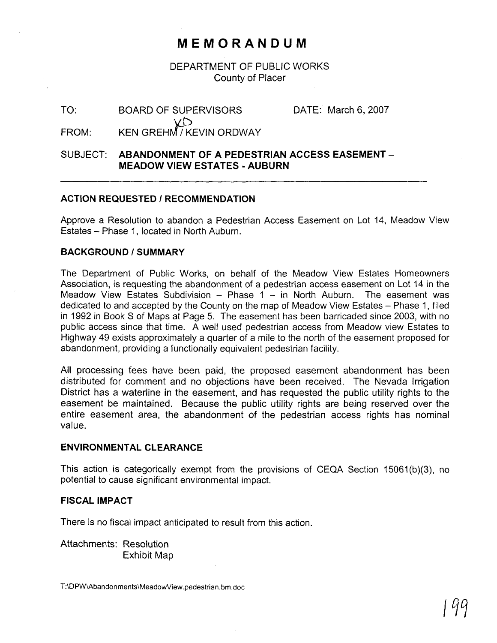# **MEMORANDUM**

DEPARTMENT OF PUBLIC WORKS County of Placer

TO: BOARD OF SUPERVISORS DATE: March 6, 2007 FROM: KEN GREHM / KEVIN ORDWAY

## SUBJECT: **ABANDONMENT OF A PEDESTRIAN ACCESS EASEMENT** - **MEADOW VIEW ESTATES** - **AUBURN**

### **ACTION REQUESTED I RECOMMENDATION**

Approve a Resolution to abandon a Pedestrian Access Easement on Lot 14, Meadow View Estates - Phase 1, located in North Auburn.

#### **BACKGROUND** *I* **SUMMARY**

The Department of Public Works, on behalf of the Meadow View Estates Homeowners Association, is requesting the abandonment of a pedestrian access easement on Lot 14 in the Meadow View Estates Subdivision  $-$  Phase 1  $-$  in North Auburn. The easement was dedicated to and accepted by the County on the map of Meadow View Estates – Phase 1, filed in 1992 in Book S of Maps at Page 5. The easement has been barricaded since 2003, with no public access since that time. A well used pedestrian access from Meadow view Estates to Highway 49 exists approximately a quarter of a mile to the north of the easement proposed for abandonment, providing a functionally equivalent pedestrian facility.

All processing fees have been paid, the proposed easement abandonment has been distributed for comment and no objections have been received. The Nevada Irrigation District has a waterline in the easement, and has requested the public utility rights to the easement be maintained. Because the public utility rights are being reserved over the entire easement area, the abandonment of the pedestrian access rights has nominal value.

#### **ENVIRONMENTAL CLEARANCE**

This action is categorically exempt from the provisions of CEQA Section 15061(b)(3), no potential to cause significant environmental impact.

#### **FISCAL IMPACT**

There is no fiscal impact anticipated to result from this action.

Attachments: Resolution Exhibit Map

T:\DPW\Abandonments\MeadowView.pedestrian.bm.doc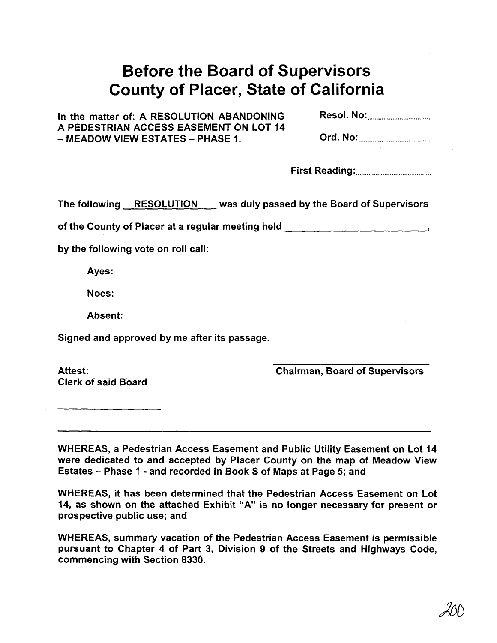# Before the Board of Supervisors County of Placer, State of California

In the matter of: A RESOLUTION ABANDONING A PEDESTRIAN ACCESS EASEMENT ON LOT 14 - MEADOW VIEW ESTATES - PHASE 1. ord. NO: ........................................

| <b>Card Mar</b> |  |
|-----------------|--|

The following RESOLUTION was duly passed by the Board of Supervisors

of the County of Placer at a regular meeting held **<sup>9</sup>**

by the following vote on roll call:

Ayes:

Noes:

Absent:

Signed and approved by me after its passage.

Attest: Clerk of said Board Chairman, Board of Supervisors

WHEREAS, a Pedestrian Access Easement and Public Utility Easement on Lot 14 were dedicated to and accepted by Placer County on the map of Meadow View Estates - Phase 1 - and recorded in Book S of Maps at Page 5; and

WHEREAS, it has been determined that the Pedestrian Access Easement on Lot 14, as shown on the attached Exhibit "A" is no longer necessary for present or prospective public use; and

WHEREAS, summary vacation of the Pedestrian Access Easement is permissible pursuant to Chapter 4 of Part 3, Division 9 of the Streets and Highways Code, commencing with Section 8330.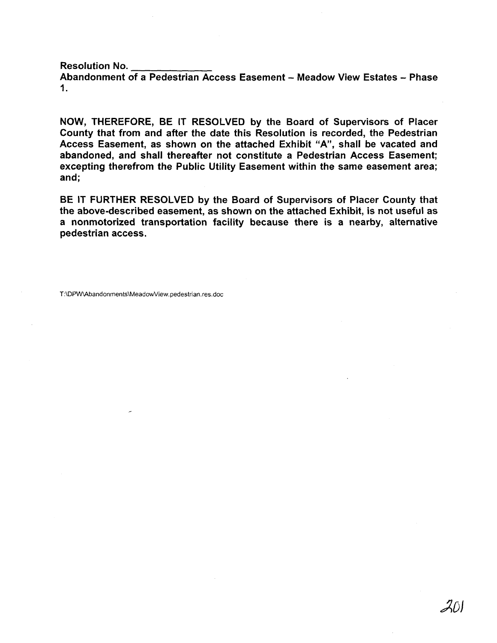Resolution No.

Abandonment of a Pedestrian Access Easement - Meadow View Estates - Phase **1.** 

NOW, THEREFORE, BE IT RESOLVED by the Board of Supervisors of Placer County that from and after the date this Resolution is recorded, the Pedestrian Access Easement, as shown on the attached Exhibit "A", shall be vacated and abandoned, and shall thereafter not constitute a Pedestrian Access Easement; excepting therefrom the Public Utility Easement within the same easement area; and;

BE IT FURTHER RESOLVED by the Board of Supervisors of Placer County that the above-described easement, as shown on the attached Exhibit, is not useful as a nonmotorized transportation facility because there is a nearby, alternative pedestrian access.

T:\DPW\Abandonments\MeadowView.pedestrian.res.doc